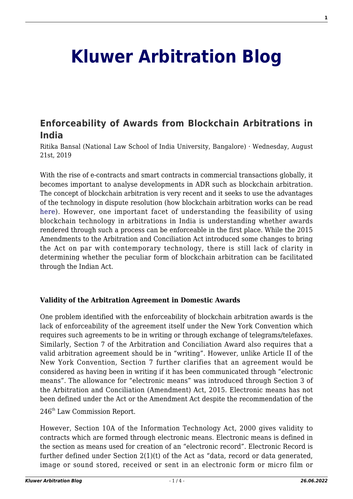# **[Kluwer Arbitration Blog](http://arbitrationblog.kluwerarbitration.com/)**

# **[Enforceability of Awards from Blockchain Arbitrations in](http://arbitrationblog.kluwerarbitration.com/2019/08/21/enforceability-of-awards-from-blockchain-arbitrations-in-india/) [India](http://arbitrationblog.kluwerarbitration.com/2019/08/21/enforceability-of-awards-from-blockchain-arbitrations-in-india/)**

Ritika Bansal (National Law School of India University, Bangalore) · Wednesday, August 21st, 2019

With the rise of e-contracts and smart contracts in commercial transactions globally, it becomes important to analyse developments in ADR such as blockchain arbitration. The concept of blockchain arbitration is very recent and it seeks to use the advantages of the technology in dispute resolution (how blockchain arbitration works can be read [here](http://arbitrationblog.kluwerarbitration.com/2019/01/27/2018-in-review-blockchain-technology-and-arbitration/)). However, one important facet of understanding the feasibility of using blockchain technology in arbitrations in India is understanding whether awards rendered through such a process can be enforceable in the first place. While the 2015 Amendments to the Arbitration and Conciliation Act introduced some changes to bring the Act on par with contemporary technology, there is still lack of clarity in determining whether the peculiar form of blockchain arbitration can be facilitated through the Indian Act.

# **Validity of the Arbitration Agreement in Domestic Awards**

One problem identified with the enforceability of blockchain arbitration awards is the lack of enforceability of the agreement itself under the New York Convention which requires such agreements to be in writing or through exchange of telegrams/telefaxes. Similarly, Section 7 of the Arbitration and Conciliation Award also requires that a valid arbitration agreement should be in "writing". However, unlike Article II of the New York Convention, Section 7 further clarifies that an agreement would be considered as having been in writing if it has been communicated through "electronic means". The allowance for "electronic means" was introduced through Section 3 of the Arbitration and Conciliation (Amendment) Act, 2015. Electronic means has not been defined under the Act or the Amendment Act despite the recommendation of the

246th Law Commission Report.

However, Section 10A of the Information Technology Act, 2000 gives validity to contracts which are formed through electronic means. Electronic means is defined in the section as means used for creation of an "electronic record". Electronic Record is further defined under Section 2(1)(t) of the Act as "data, record or data generated, image or sound stored, received or sent in an electronic form or micro film or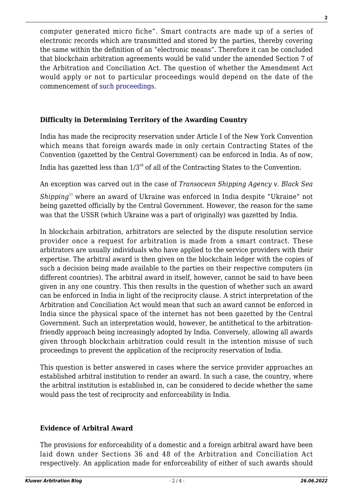computer generated micro fiche". Smart contracts are made up of a series of electronic records which are transmitted and stored by the parties, thereby covering the same within the definition of an "electronic means". Therefore it can be concluded that blockchain arbitration agreements would be valid under the amended Section 7 of the Arbitration and Conciliation Act. The question of whether the Amendment Act would apply or not to particular proceedings would depend on the date of the commencement of [such proceedings](http://arbitrationblog.kluwerarbitration.com/2018/10/16/bcci-v-kochi-untangled-issues/).

# **Difficulty in Determining Territory of the Awarding Country**

India has made the reciprocity reservation under Article I of the New York Convention which means that foreign awards made in only certain Contracting States of the Convention (gazetted by the Central Government) can be enforced in India. As of now,

India has gazetted less than  $1/3^{rd}$  of all of the Contracting States to the Convention.

An exception was carved out in the case of *Transocean Shipping Agency v. Black Sea*

*Shipping*1) where an award of Ukraine was enforced in India despite "Ukraine" not being gazetted officially by the Central Government. However, the reason for the same was that the USSR (which Ukraine was a part of originally) was gazetted by India.

In blockchain arbitration, arbitrators are selected by the dispute resolution service provider once a request for arbitration is made from a smart contract. These arbitrators are usually individuals who have applied to the service providers with their expertise. The arbitral award is then given on the blockchain ledger with the copies of such a decision being made available to the parties on their respective computers (in different countries). The arbitral award in itself, however, cannot be said to have been given in any one country. This then results in the question of whether such an award can be enforced in India in light of the reciprocity clause. A strict interpretation of the Arbitration and Conciliation Act would mean that such an award cannot be enforced in India since the physical space of the internet has not been gazetted by the Central Government. Such an interpretation would, however, be antithetical to the arbitrationfriendly approach being increasingly adopted by India. Conversely, allowing all awards given through blockchain arbitration could result in the intention misuse of such proceedings to prevent the application of the reciprocity reservation of India.

This question is better answered in cases where the service provider approaches an established arbitral institution to render an award. In such a case, the country, where the arbitral institution is established in, can be considered to decide whether the same would pass the test of reciprocity and enforceability in India.

# **Evidence of Arbitral Award**

The provisions for enforceability of a domestic and a foreign arbitral award have been laid down under Sections 36 and 48 of the Arbitration and Conciliation Act respectively. An application made for enforceability of either of such awards should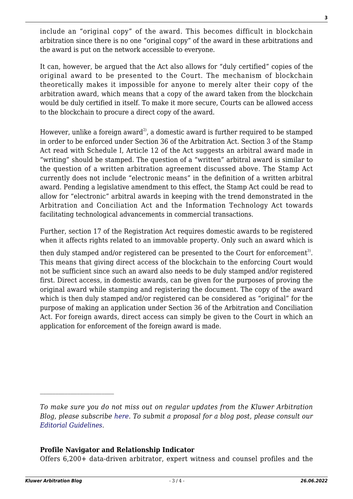include an "original copy" of the award. This becomes difficult in blockchain arbitration since there is no one "original copy" of the award in these arbitrations and the award is put on the network accessible to everyone.

It can, however, be argued that the Act also allows for "duly certified" copies of the original award to be presented to the Court. The mechanism of blockchain theoretically makes it impossible for anyone to merely alter their copy of the arbitration award, which means that a copy of the award taken from the blockchain would be duly certified in itself. To make it more secure, Courts can be allowed access to the blockchain to procure a direct copy of the award.

However, unlike a foreign award<sup>2)</sup>, a domestic award is further required to be stamped in order to be enforced under Section 36 of the Arbitration Act. Section 3 of the Stamp Act read with Schedule I, Article 12 of the Act suggests an arbitral award made in "writing" should be stamped. The question of a "written" arbitral award is similar to the question of a written arbitration agreement discussed above. The Stamp Act currently does not include "electronic means" in the definition of a written arbitral award. Pending a legislative amendment to this effect, the Stamp Act could be read to allow for "electronic" arbitral awards in keeping with the trend demonstrated in the Arbitration and Conciliation Act and the Information Technology Act towards facilitating technological advancements in commercial transactions.

Further, section 17 of the Registration Act requires domestic awards to be registered when it affects rights related to an immovable property. Only such an award which is

then duly stamped and/or registered can be presented to the Court for enforcement<sup>3)</sup>. This means that giving direct access of the blockchain to the enforcing Court would not be sufficient since such an award also needs to be duly stamped and/or registered first. Direct access, in domestic awards, can be given for the purposes of proving the original award while stamping and registering the document. The copy of the award which is then duly stamped and/or registered can be considered as "original" for the purpose of making an application under Section 36 of the Arbitration and Conciliation Act. For foreign awards, direct access can simply be given to the Court in which an application for enforcement of the foreign award is made.

# **Profile Navigator and Relationship Indicator**

Offers 6,200+ data-driven arbitrator, expert witness and counsel profiles and the

*To make sure you do not miss out on regular updates from the Kluwer Arbitration Blog, please subscribe [here](http://arbitrationblog.kluwerarbitration.com/newsletter/). To submit a proposal for a blog post, please consult our [Editorial Guidelines.](http://arbitrationblog.kluwerarbitration.com/editorial-guidelines/)*